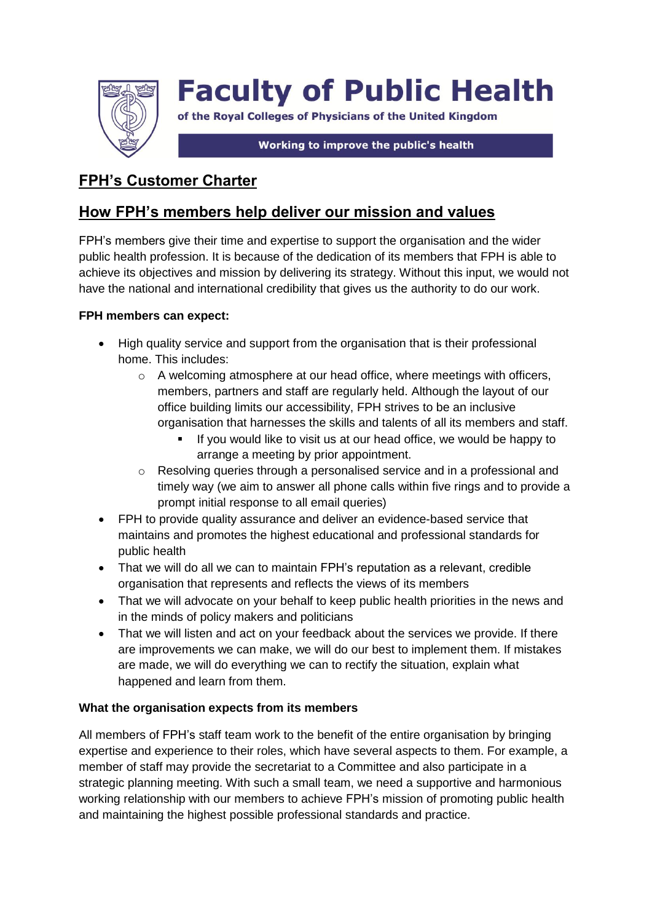

# **Faculty of Public Health**

of the Royal Colleges of Physicians of the United Kingdom

Working to improve the public's health

## **FPH's Customer Charter**

## **How FPH's members help deliver our mission and values**

FPH's members give their time and expertise to support the organisation and the wider public health profession. It is because of the dedication of its members that FPH is able to achieve its objectives and mission by delivering its strategy. Without this input, we would not have the national and international credibility that gives us the authority to do our work.

### **FPH members can expect:**

- High quality service and support from the organisation that is their professional home. This includes:
	- $\circ$  A welcoming atmosphere at our head office, where meetings with officers, members, partners and staff are regularly held. Although the layout of our office building limits our accessibility, FPH strives to be an inclusive organisation that harnesses the skills and talents of all its members and staff.
		- If you would like to visit us at our head office, we would be happy to arrange a meeting by prior appointment.
	- o Resolving queries through a personalised service and in a professional and timely way (we aim to answer all phone calls within five rings and to provide a prompt initial response to all email queries)
- FPH to provide quality assurance and deliver an evidence-based service that maintains and promotes the highest educational and professional standards for public health
- That we will do all we can to maintain FPH's reputation as a relevant, credible organisation that represents and reflects the views of its members
- That we will advocate on your behalf to keep public health priorities in the news and in the minds of policy makers and politicians
- That we will listen and act on your feedback about the services we provide. If there are improvements we can make, we will do our best to implement them. If mistakes are made, we will do everything we can to rectify the situation, explain what happened and learn from them.

### **What the organisation expects from its members**

All members of FPH's staff team work to the benefit of the entire organisation by bringing expertise and experience to their roles, which have several aspects to them. For example, a member of staff may provide the secretariat to a Committee and also participate in a strategic planning meeting. With such a small team, we need a supportive and harmonious working relationship with our members to achieve FPH's mission of promoting public health and maintaining the highest possible professional standards and practice.